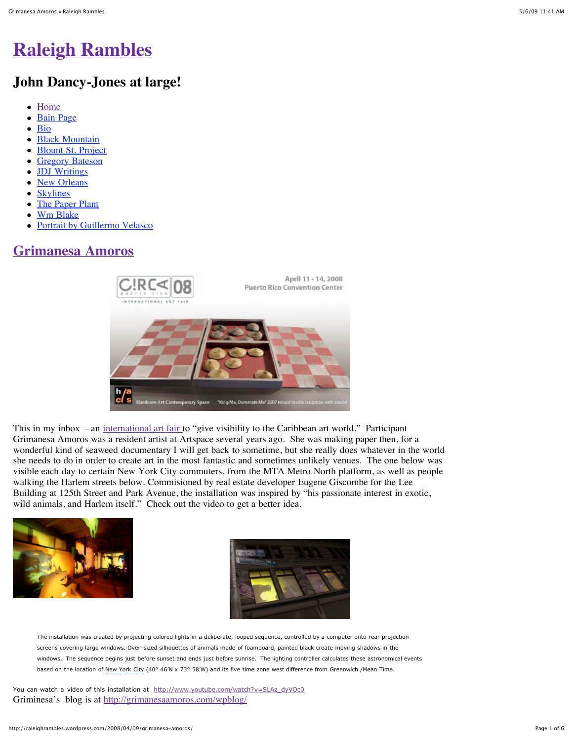# **[Raleigh Rambles](http://raleighrambles.wordpress.com/)**

## **John Dancy-Jones at large!**

- [Home](http://raleighrambles.wordpress.com/)
- [Bain Page](http://raleighrambles.wordpress.com/bain-water-project-page/)  $\bullet$
- [Bio](http://raleighrambles.wordpress.com/bio/)  $\bullet$
- **[Black Mountain](http://raleighrambles.wordpress.com/black-mountain/)**
- [Blount St. Project](http://raleighrambles.wordpress.com/blount-st-project/)  $\bullet$
- [Gregory Bateson](http://raleighrambles.wordpress.com/gregory-bateson/)  $\bullet$
- [JDJ Writings](http://raleighrambles.wordpress.com/jdj-writings/)  $\bullet$
- [New Orleans](http://raleighrambles.wordpress.com/new-orleans/)  $\bullet$
- **[Skylines](http://raleighrambles.wordpress.com/skylines/)**  $\bullet$
- [The Paper Plant](http://raleighrambles.wordpress.com/paper-plant-the/)  $\bullet$
- [Wm Blake](http://raleighrambles.wordpress.com/william-blake/)
- [Portrait by Guillermo Velasco](http://raleighrambles.wordpress.com/about/)

### **[Grimanesa Amoros](http://raleighrambles.wordpress.com/2008/04/09/grimanesa-amoros/)**



This in my inbox - an [international art fair](http://www.circapr.com/web/english/main.html) to "give visibility to the Caribbean art world." Participant Grimanesa Amoros was a resident artist at Artspace several years ago. She was making paper then, for a wonderful kind of seaweed documentary I will get back to sometime, but she really does whatever in the world she needs to do in order to create art in the most fantastic and sometimes unlikely venues. The one below was visible each day to certain New York City commuters, from the MTA Metro North platform, as well as people walking the Harlem streets below. Commisioned by real estate developer Eugene Giscombe for the Lee Building at 125th Street and Park Avenue, the installation was inspired by "his passionate interest in exotic, wild animals, and Harlem itself." Check out the video to get a better idea.





The installation was created by projecting colored lights in a deliberate, looped sequence, controlled by a computer onto rear projection screens covering large windows. Over-sized silhouettes of animals made of foamboard, painted black create moving shadows in the windows. The sequence begins just before sunset and ends just before sunrise. The lighting controller calculates these astronomical events based on the location of New York City (40° 46'N x 73° 58'W) and its five time zone west difference from Greenwich /Mean Time.

You can watch a video of this installation at [http://www.youtube.com/watch?v=SLAz\\_dyVOc0](http://www.youtube.com/watch?v=SLAz_dyVOc0) Griminesa's blog is at <http://grimanesaamoros.com/wpblog/>